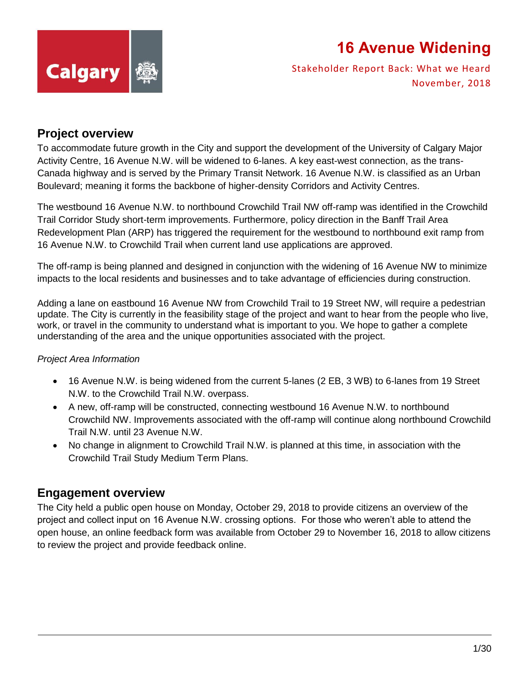

Stakeholder Report Back: What we Heard November, 2018

#### **Project overview**

To accommodate future growth in the City and support the development of the University of Calgary Major Activity Centre, 16 Avenue N.W. will be widened to 6-lanes. A key east-west connection, as the trans-Canada highway and is served by the Primary Transit Network. 16 Avenue N.W. is classified as an Urban Boulevard; meaning it forms the backbone of higher-density Corridors and Activity Centres.

The westbound 16 Avenue N.W. to northbound Crowchild Trail NW off-ramp was identified in the Crowchild Trail Corridor Study short-term improvements. Furthermore, policy direction in the Banff Trail Area Redevelopment Plan (ARP) has triggered the requirement for the westbound to northbound exit ramp from 16 Avenue N.W. to Crowchild Trail when current land use applications are approved.

The off-ramp is being planned and designed in conjunction with the widening of 16 Avenue NW to minimize impacts to the local residents and businesses and to take advantage of efficiencies during construction.

Adding a lane on eastbound 16 Avenue NW from Crowchild Trail to 19 Street NW, will require a pedestrian update. The City is currently in the feasibility stage of the project and want to hear from the people who live, work, or travel in the community to understand what is important to you. We hope to gather a complete understanding of the area and the unique opportunities associated with the project.

#### *Project Area Information*

- 16 Avenue N.W. is being widened from the current 5-lanes (2 EB, 3 WB) to 6-lanes from 19 Street N.W. to the Crowchild Trail N.W. overpass.
- A new, off-ramp will be constructed, connecting westbound 16 Avenue N.W. to northbound Crowchild NW. Improvements associated with the off-ramp will continue along northbound Crowchild Trail N.W. until 23 Avenue N.W.
- No change in alignment to Crowchild Trail N.W. is planned at this time, in association with the Crowchild Trail Study Medium Term Plans.

#### **Engagement overview**

The City held a public open house on Monday, October 29, 2018 to provide citizens an overview of the project and collect input on 16 Avenue N.W. crossing options. For those who weren't able to attend the open house, an online feedback form was available from October 29 to November 16, 2018 to allow citizens to review the project and provide feedback online.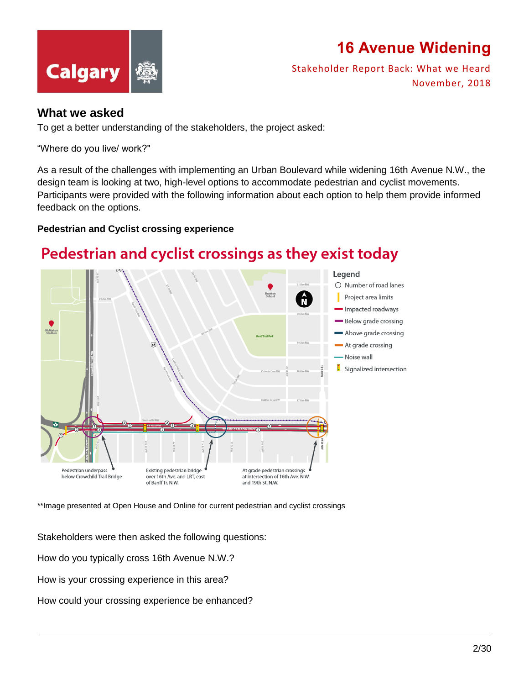



Stakeholder Report Back: What we Heard November, 2018

#### **What we asked**

To get a better understanding of the stakeholders, the project asked:

"Where do you live/ work?"

As a result of the challenges with implementing an Urban Boulevard while widening 16th Avenue N.W., the design team is looking at two, high-level options to accommodate pedestrian and cyclist movements. Participants were provided with the following information about each option to help them provide informed feedback on the options.

#### **Pedestrian and Cyclist crossing experience**

#### Pedestrian and cyclist crossings as they exist today



\*\*Image presented at Open House and Online for current pedestrian and cyclist crossings

Stakeholders were then asked the following questions:

How do you typically cross 16th Avenue N.W.?

How is your crossing experience in this area?

How could your crossing experience be enhanced?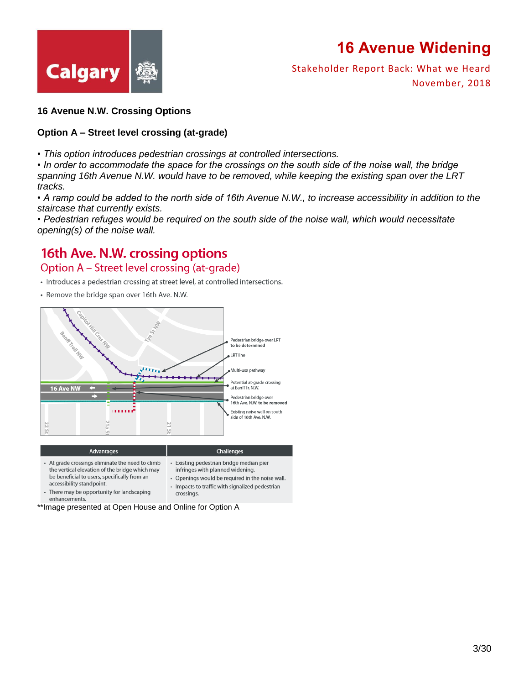



Stakeholder Report Back: What we Heard November, 2018

#### **16 Avenue N.W. Crossing Options**

#### **Option A – Street level crossing (at-grade)**

*• This option introduces pedestrian crossings at controlled intersections.*

*• In order to accommodate the space for the crossings on the south side of the noise wall, the bridge spanning 16th Avenue N.W. would have to be removed, while keeping the existing span over the LRT tracks.*

*• A ramp could be added to the north side of 16th Avenue N.W., to increase accessibility in addition to the staircase that currently exists.*

*• Pedestrian refuges would be required on the south side of the noise wall, which would necessitate opening(s) of the noise wall.*

#### 16th Ave. N.W. crossing options

#### Option A - Street level crossing (at-grade)

- Introduces a pedestrian crossing at street level, at controlled intersections.
- Remove the bridge span over 16th Ave. N.W.



- At grade crossings eliminate the need to climb  $\ddot{\phantom{a}}$ Existing pedestrian bridge median pier the vertical elevation of the bridge which may infringes with planned widening. be beneficial to users, specifically from an • Openings would be required in the noise wall. accessibility standpoint. • Impacts to traffic with signalized pedestrian • There may be opportunity for landscaping crossings.
	- enhancements.
- \*\*Image presented at Open House and Online for Option A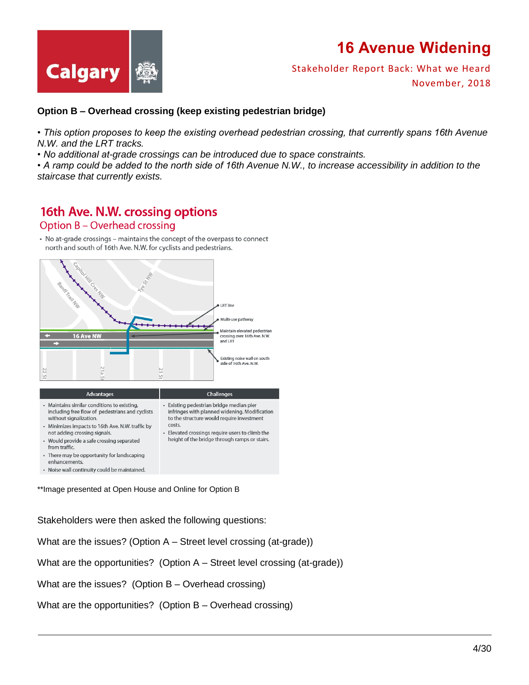

Stakeholder Report Back: What we Heard November, 2018

#### **Option B – Overhead crossing (keep existing pedestrian bridge)**

*• This option proposes to keep the existing overhead pedestrian crossing, that currently spans 16th Avenue N.W. and the LRT tracks.*

*• No additional at-grade crossings can be introduced due to space constraints.*

*• A ramp could be added to the north side of 16th Avenue N.W., to increase accessibility in addition to the staircase that currently exists.*

#### 16th Ave. N.W. crossing options

Option B - Overhead crossing

• No at-grade crossings – maintains the concept of the overpass to connect north and south of 16th Ave. N.W. for cyclists and pedestrians.



\*\*Image presented at Open House and Online for Option B

Stakeholders were then asked the following questions:

What are the issues? (Option A – Street level crossing (at-grade))

What are the opportunities? (Option  $A -$  Street level crossing (at-grade))

What are the issues? (Option B – Overhead crossing)

What are the opportunities? (Option B – Overhead crossing)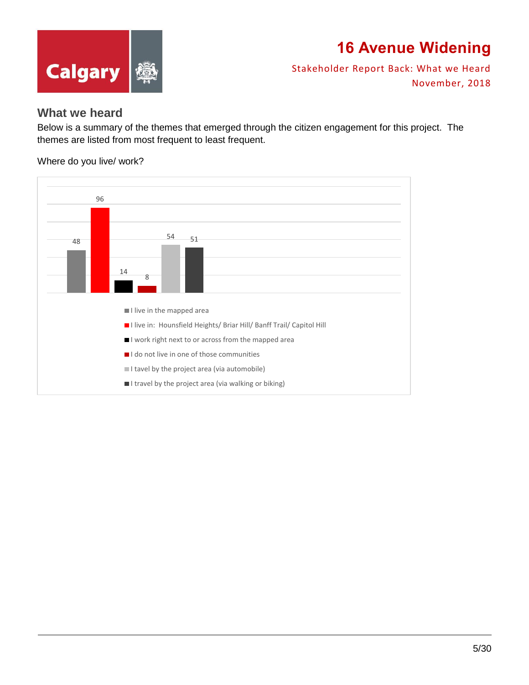



Stakeholder Report Back: What we Heard November, 2018

#### **What we heard**

Below is a summary of the themes that emerged through the citizen engagement for this project. The themes are listed from most frequent to least frequent.

Where do you live/ work?

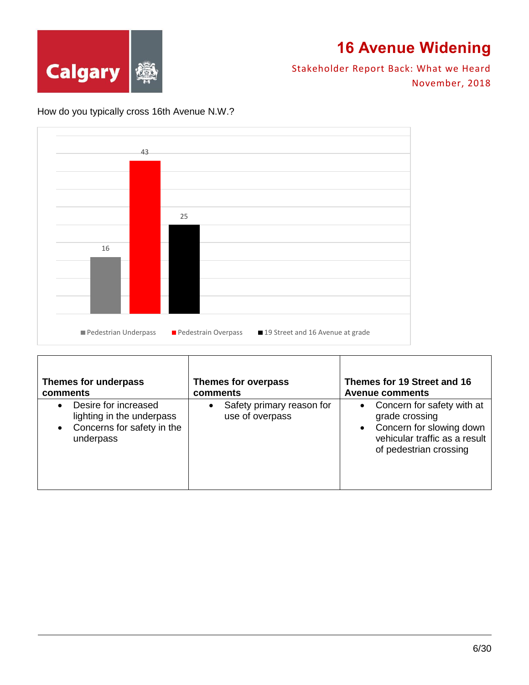

Stakeholder Report Back: What we Heard November, 2018

#### How do you typically cross 16th Avenue N.W.?



| Themes for underpass                                                                                      | <b>Themes for overpass</b>                                | Themes for 19 Street and 16                                                                                                             |
|-----------------------------------------------------------------------------------------------------------|-----------------------------------------------------------|-----------------------------------------------------------------------------------------------------------------------------------------|
| comments                                                                                                  | comments                                                  | <b>Avenue comments</b>                                                                                                                  |
| Desire for increased<br>lighting in the underpass<br>Concerns for safety in the<br>$\bullet$<br>underpass | Safety primary reason for<br>$\bullet$<br>use of overpass | • Concern for safety with at<br>grade crossing<br>• Concern for slowing down<br>vehicular traffic as a result<br>of pedestrian crossing |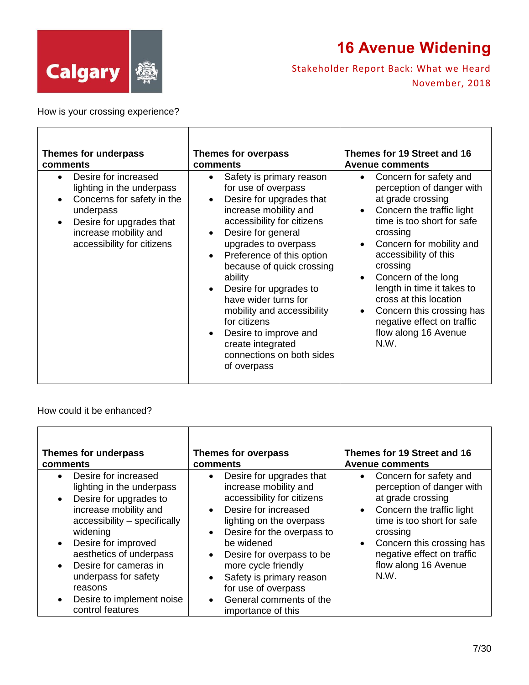

 $\overline{\phantom{a}}$ 

Stakeholder Report Back: What we Heard November, 2018

T

How is your crossing experience?

 $\Gamma$ 

| Themes for underpass                                                                                                                                                                                                   | <b>Themes for overpass</b>                                                                                                                                                                                                                                                                                                                                                                                                                                                                                                    | Themes for 19 Street and 16                                                                                                                                                                                                                                                                                                                                                                                                                                 |
|------------------------------------------------------------------------------------------------------------------------------------------------------------------------------------------------------------------------|-------------------------------------------------------------------------------------------------------------------------------------------------------------------------------------------------------------------------------------------------------------------------------------------------------------------------------------------------------------------------------------------------------------------------------------------------------------------------------------------------------------------------------|-------------------------------------------------------------------------------------------------------------------------------------------------------------------------------------------------------------------------------------------------------------------------------------------------------------------------------------------------------------------------------------------------------------------------------------------------------------|
| comments                                                                                                                                                                                                               | comments                                                                                                                                                                                                                                                                                                                                                                                                                                                                                                                      | <b>Avenue comments</b>                                                                                                                                                                                                                                                                                                                                                                                                                                      |
| Desire for increased<br>$\bullet$<br>lighting in the underpass<br>Concerns for safety in the<br>$\bullet$<br>underpass<br>Desire for upgrades that<br>$\bullet$<br>increase mobility and<br>accessibility for citizens | Safety is primary reason<br>$\bullet$<br>for use of overpass<br>Desire for upgrades that<br>$\bullet$<br>increase mobility and<br>accessibility for citizens<br>Desire for general<br>$\bullet$<br>upgrades to overpass<br>Preference of this option<br>$\bullet$<br>because of quick crossing<br>ability<br>Desire for upgrades to<br>$\bullet$<br>have wider turns for<br>mobility and accessibility<br>for citizens<br>Desire to improve and<br>$\bullet$<br>create integrated<br>connections on both sides<br>of overpass | Concern for safety and<br>$\bullet$<br>perception of danger with<br>at grade crossing<br>Concern the traffic light<br>$\bullet$<br>time is too short for safe<br>crossing<br>Concern for mobility and<br>$\bullet$<br>accessibility of this<br>crossing<br>Concern of the long<br>$\bullet$<br>length in time it takes to<br>cross at this location<br>Concern this crossing has<br>$\bullet$<br>negative effect on traffic<br>flow along 16 Avenue<br>N.W. |

#### How could it be enhanced?

| Themes for underpass                                                                                                                                                                                                                                                                                                                                                             | Themes for overpass                                                                                                                                                                                                                                                                                                                                                                                                   | Themes for 19 Street and 16                                                                                                                                                                                                                                                       |
|----------------------------------------------------------------------------------------------------------------------------------------------------------------------------------------------------------------------------------------------------------------------------------------------------------------------------------------------------------------------------------|-----------------------------------------------------------------------------------------------------------------------------------------------------------------------------------------------------------------------------------------------------------------------------------------------------------------------------------------------------------------------------------------------------------------------|-----------------------------------------------------------------------------------------------------------------------------------------------------------------------------------------------------------------------------------------------------------------------------------|
| comments                                                                                                                                                                                                                                                                                                                                                                         | comments                                                                                                                                                                                                                                                                                                                                                                                                              | <b>Avenue comments</b>                                                                                                                                                                                                                                                            |
| Desire for increased<br>$\bullet$<br>lighting in the underpass<br>Desire for upgrades to<br>$\bullet$<br>increase mobility and<br>accessibility - specifically<br>widening<br>Desire for improved<br>$\bullet$<br>aesthetics of underpass<br>Desire for cameras in<br>$\bullet$<br>underpass for safety<br>reasons<br>Desire to implement noise<br>$\bullet$<br>control features | Desire for upgrades that<br>$\bullet$<br>increase mobility and<br>accessibility for citizens<br>Desire for increased<br>$\bullet$<br>lighting on the overpass<br>Desire for the overpass to<br>$\bullet$<br>be widened<br>Desire for overpass to be<br>$\bullet$<br>more cycle friendly<br>Safety is primary reason<br>$\bullet$<br>for use of overpass<br>General comments of the<br>$\bullet$<br>importance of this | Concern for safety and<br>$\bullet$<br>perception of danger with<br>at grade crossing<br>Concern the traffic light<br>$\bullet$<br>time is too short for safe<br>crossing<br>Concern this crossing has<br>$\bullet$<br>negative effect on traffic<br>flow along 16 Avenue<br>N.W. |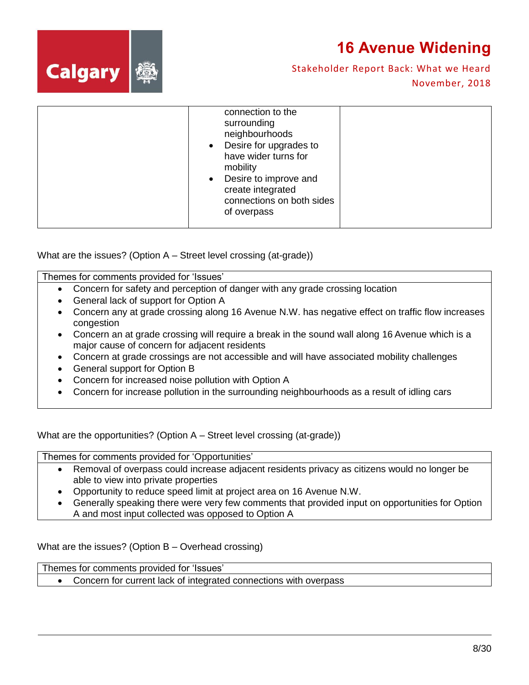



Stakeholder Report Back: What we Heard November, 2018

| connection to the<br>surrounding<br>neighbourhoods<br>Desire for upgrades to<br>$\bullet$<br>have wider turns for<br>mobility<br>Desire to improve and<br>$\bullet$<br>create integrated<br>connections on both sides<br>of overpass |  |
|--------------------------------------------------------------------------------------------------------------------------------------------------------------------------------------------------------------------------------------|--|
|                                                                                                                                                                                                                                      |  |

What are the issues? (Option A – Street level crossing (at-grade))

Themes for comments provided for 'Issues'

- Concern for safety and perception of danger with any grade crossing location
- General lack of support for Option A
- Concern any at grade crossing along 16 Avenue N.W. has negative effect on traffic flow increases congestion
- Concern an at grade crossing will require a break in the sound wall along 16 Avenue which is a major cause of concern for adjacent residents
- Concern at grade crossings are not accessible and will have associated mobility challenges
- General support for Option B
- Concern for increased noise pollution with Option A
- Concern for increase pollution in the surrounding neighbourhoods as a result of idling cars

What are the opportunities? (Option A – Street level crossing (at-grade))

Themes for comments provided for 'Opportunities'

- Removal of overpass could increase adjacent residents privacy as citizens would no longer be able to view into private properties
- Opportunity to reduce speed limit at project area on 16 Avenue N.W.
- Generally speaking there were very few comments that provided input on opportunities for Option A and most input collected was opposed to Option A

What are the issues? (Option B – Overhead crossing)

Themes for comments provided for 'Issues'

Concern for current lack of integrated connections with overpass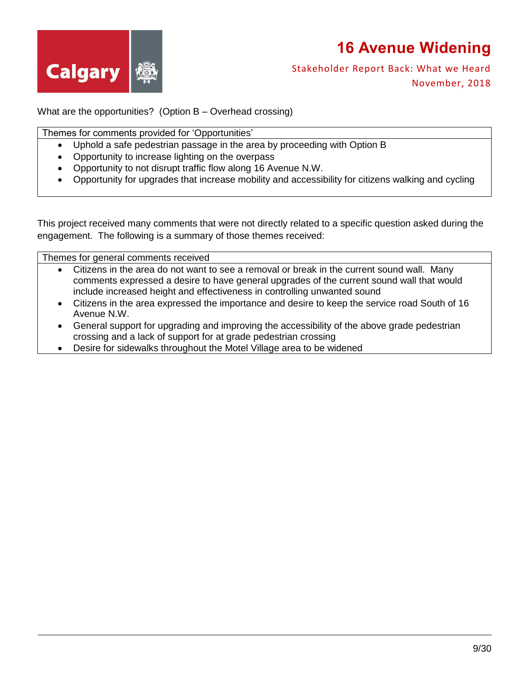



Stakeholder Report Back: What we Heard November, 2018

What are the opportunities? (Option B – Overhead crossing)

Themes for comments provided for 'Opportunities'

- Uphold a safe pedestrian passage in the area by proceeding with Option B
- Opportunity to increase lighting on the overpass
- Opportunity to not disrupt traffic flow along 16 Avenue N.W.
- Opportunity for upgrades that increase mobility and accessibility for citizens walking and cycling

This project received many comments that were not directly related to a specific question asked during the engagement. The following is a summary of those themes received:

Themes for general comments received

- Citizens in the area do not want to see a removal or break in the current sound wall. Many comments expressed a desire to have general upgrades of the current sound wall that would include increased height and effectiveness in controlling unwanted sound
- Citizens in the area expressed the importance and desire to keep the service road South of 16 Avenue N.W.
- General support for upgrading and improving the accessibility of the above grade pedestrian crossing and a lack of support for at grade pedestrian crossing
- Desire for sidewalks throughout the Motel Village area to be widened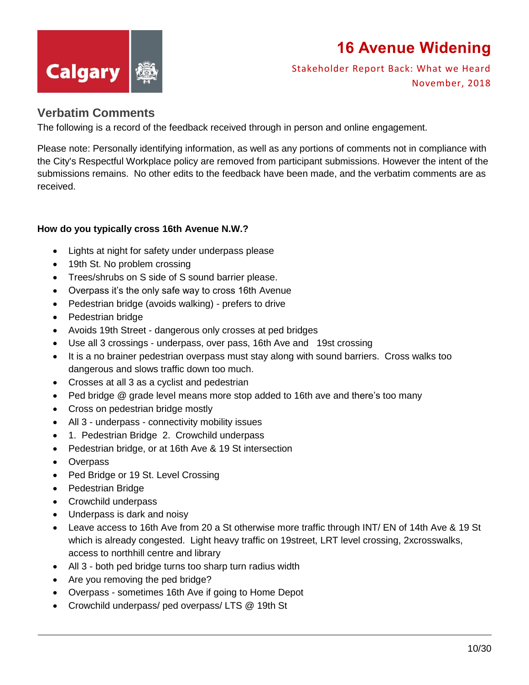

Stakeholder Report Back: What we Heard November, 2018

#### **Verbatim Comments**

The following is a record of the feedback received through in person and online engagement.

Please note: Personally identifying information, as well as any portions of comments not in compliance with the City's Respectful Workplace policy are removed from participant submissions. However the intent of the submissions remains. No other edits to the feedback have been made, and the verbatim comments are as received.

#### **How do you typically cross 16th Avenue N.W.?**

- Lights at night for safety under underpass please
- 19th St. No problem crossing
- Trees/shrubs on S side of S sound barrier please.
- Overpass it's the only safe way to cross 16th Avenue
- Pedestrian bridge (avoids walking) prefers to drive
- Pedestrian bridge
- Avoids 19th Street dangerous only crosses at ped bridges
- Use all 3 crossings underpass, over pass, 16th Ave and 19st crossing
- It is a no brainer pedestrian overpass must stay along with sound barriers. Cross walks too dangerous and slows traffic down too much.
- Crosses at all 3 as a cyclist and pedestrian
- Ped bridge @ grade level means more stop added to 16th ave and there's too many
- Cross on pedestrian bridge mostly
- All 3 underpass connectivity mobility issues
- 1. Pedestrian Bridge 2. Crowchild underpass
- Pedestrian bridge, or at 16th Ave & 19 St intersection
- Overpass
- Ped Bridge or 19 St. Level Crossing
- Pedestrian Bridge
- Crowchild underpass
- Underpass is dark and noisy
- Leave access to 16th Ave from 20 a St otherwise more traffic through INT/ EN of 14th Ave & 19 St which is already congested. Light heavy traffic on 19street, LRT level crossing, 2xcrosswalks, access to northhill centre and library
- All 3 both ped bridge turns too sharp turn radius width
- Are you removing the ped bridge?
- Overpass sometimes 16th Ave if going to Home Depot
- Crowchild underpass/ ped overpass/ LTS @ 19th St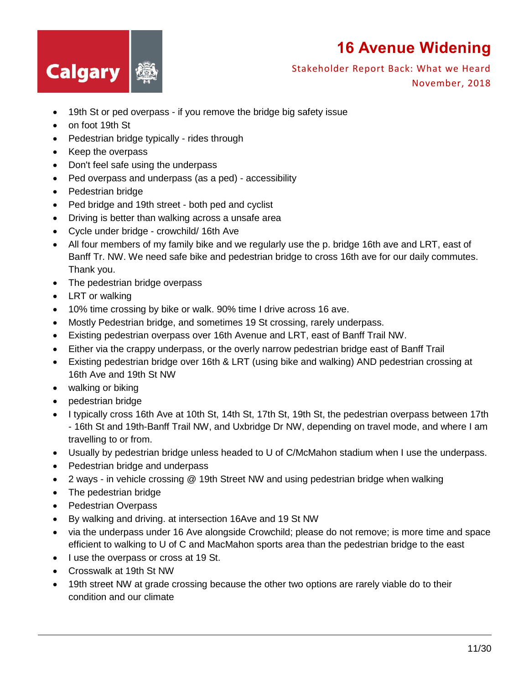

- 19th St or ped overpass if you remove the bridge big safety issue
- on foot 19th St
- Pedestrian bridge typically rides through
- Keep the overpass
- Don't feel safe using the underpass
- Ped overpass and underpass (as a ped) accessibility
- Pedestrian bridge
- Ped bridge and 19th street both ped and cyclist
- Driving is better than walking across a unsafe area
- Cycle under bridge crowchild/ 16th Ave
- All four members of my family bike and we regularly use the p. bridge 16th ave and LRT, east of Banff Tr. NW. We need safe bike and pedestrian bridge to cross 16th ave for our daily commutes. Thank you.
- The pedestrian bridge overpass
- LRT or walking
- 10% time crossing by bike or walk. 90% time I drive across 16 ave.
- Mostly Pedestrian bridge, and sometimes 19 St crossing, rarely underpass.
- Existing pedestrian overpass over 16th Avenue and LRT, east of Banff Trail NW.
- Either via the crappy underpass, or the overly narrow pedestrian bridge east of Banff Trail
- Existing pedestrian bridge over 16th & LRT (using bike and walking) AND pedestrian crossing at 16th Ave and 19th St NW
- walking or biking
- pedestrian bridge
- I typically cross 16th Ave at 10th St, 14th St, 17th St, 19th St, the pedestrian overpass between 17th - 16th St and 19th-Banff Trail NW, and Uxbridge Dr NW, depending on travel mode, and where I am travelling to or from.
- Usually by pedestrian bridge unless headed to U of C/McMahon stadium when I use the underpass.
- Pedestrian bridge and underpass
- 2 ways in vehicle crossing @ 19th Street NW and using pedestrian bridge when walking
- The pedestrian bridge
- Pedestrian Overpass
- By walking and driving. at intersection 16Ave and 19 St NW
- via the underpass under 16 Ave alongside Crowchild; please do not remove; is more time and space efficient to walking to U of C and MacMahon sports area than the pedestrian bridge to the east
- I use the overpass or cross at 19 St.
- Crosswalk at 19th St NW
- 19th street NW at grade crossing because the other two options are rarely viable do to their condition and our climate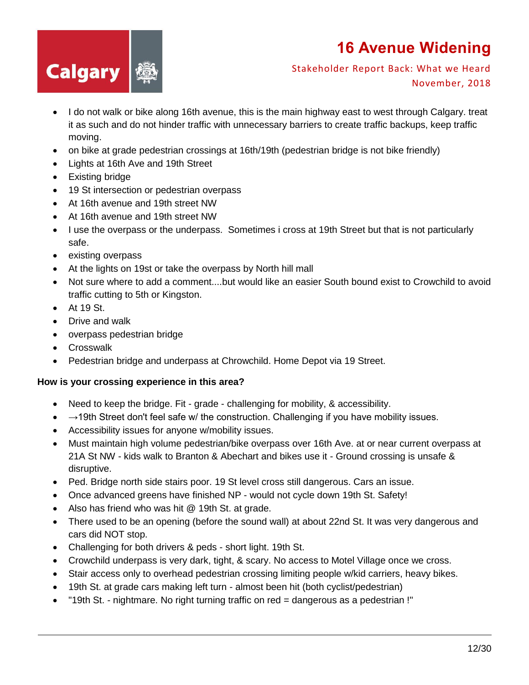

Stakeholder Report Back: What we Heard November, 2018

- I do not walk or bike along 16th avenue, this is the main highway east to west through Calgary. treat it as such and do not hinder traffic with unnecessary barriers to create traffic backups, keep traffic moving.
- on bike at grade pedestrian crossings at 16th/19th (pedestrian bridge is not bike friendly)
- Lights at 16th Ave and 19th Street
- Existing bridge
- 19 St intersection or pedestrian overpass
- At 16th avenue and 19th street NW
- At 16th avenue and 19th street NW
- I use the overpass or the underpass. Sometimes i cross at 19th Street but that is not particularly safe.
- existing overpass
- At the lights on 19st or take the overpass by North hill mall
- Not sure where to add a comment....but would like an easier South bound exist to Crowchild to avoid traffic cutting to 5th or Kingston.
- $\bullet$  At 19 St.
- Drive and walk
- overpass pedestrian bridge
- Crosswalk
- Pedestrian bridge and underpass at Chrowchild. Home Depot via 19 Street.

#### **How is your crossing experience in this area?**

- Need to keep the bridge. Fit grade challenging for mobility, & accessibility.
- $\rightarrow$   $\rightarrow$  19th Street don't feel safe w/ the construction. Challenging if you have mobility issues.
- Accessibility issues for anyone w/mobility issues.
- Must maintain high volume pedestrian/bike overpass over 16th Ave. at or near current overpass at 21A St NW - kids walk to Branton & Abechart and bikes use it - Ground crossing is unsafe & disruptive.
- Ped. Bridge north side stairs poor. 19 St level cross still dangerous. Cars an issue.
- Once advanced greens have finished NP would not cycle down 19th St. Safety!
- Also has friend who was hit @ 19th St. at grade.
- There used to be an opening (before the sound wall) at about 22nd St. It was very dangerous and cars did NOT stop.
- Challenging for both drivers & peds short light. 19th St.
- Crowchild underpass is very dark, tight, & scary. No access to Motel Village once we cross.
- Stair access only to overhead pedestrian crossing limiting people w/kid carriers, heavy bikes.
- 19th St. at grade cars making left turn almost been hit (both cyclist/pedestrian)
- "19th St. nightmare. No right turning traffic on red = dangerous as a pedestrian !"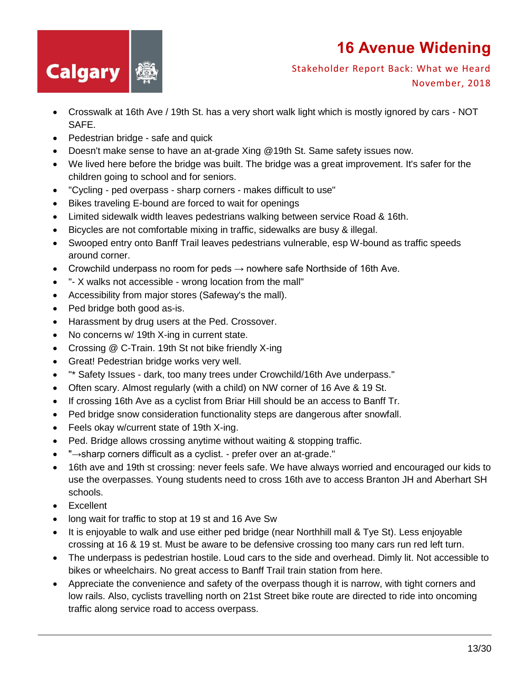

- Crosswalk at 16th Ave / 19th St. has a very short walk light which is mostly ignored by cars NOT SAFE.
- Pedestrian bridge safe and quick
- Doesn't make sense to have an at-grade Xing @19th St. Same safety issues now.
- We lived here before the bridge was built. The bridge was a great improvement. It's safer for the children going to school and for seniors.
- "Cycling ped overpass sharp corners makes difficult to use"
- Bikes traveling E-bound are forced to wait for openings
- Limited sidewalk width leaves pedestrians walking between service Road & 16th.
- Bicycles are not comfortable mixing in traffic, sidewalks are busy & illegal.
- Swooped entry onto Banff Trail leaves pedestrians vulnerable, esp W-bound as traffic speeds around corner.
- Crowchild underpass no room for peds  $\rightarrow$  nowhere safe Northside of 16th Ave.
- "- X walks not accessible wrong location from the mall"
- Accessibility from major stores (Safeway's the mall).
- Ped bridge both good as-is.
- Harassment by drug users at the Ped. Crossover.
- No concerns w/ 19th X-ing in current state.
- Crossing @ C-Train. 19th St not bike friendly X-ing
- Great! Pedestrian bridge works very well.
- "\* Safety Issues dark, too many trees under Crowchild/16th Ave underpass."
- Often scary. Almost regularly (with a child) on NW corner of 16 Ave & 19 St.
- If crossing 16th Ave as a cyclist from Briar Hill should be an access to Banff Tr.
- Ped bridge snow consideration functionality steps are dangerous after snowfall.
- Feels okay w/current state of 19th X-ing.
- Ped. Bridge allows crossing anytime without waiting & stopping traffic.
- "→sharp corners difficult as a cyclist. prefer over an at-grade."
- 16th ave and 19th st crossing: never feels safe. We have always worried and encouraged our kids to use the overpasses. Young students need to cross 16th ave to access Branton JH and Aberhart SH schools.
- Excellent
- long wait for traffic to stop at 19 st and 16 Ave Sw
- It is enjoyable to walk and use either ped bridge (near Northhill mall & Tye St). Less enjoyable crossing at 16 & 19 st. Must be aware to be defensive crossing too many cars run red left turn.
- The underpass is pedestrian hostile. Loud cars to the side and overhead. Dimly lit. Not accessible to bikes or wheelchairs. No great access to Banff Trail train station from here.
- Appreciate the convenience and safety of the overpass though it is narrow, with tight corners and low rails. Also, cyclists travelling north on 21st Street bike route are directed to ride into oncoming traffic along service road to access overpass.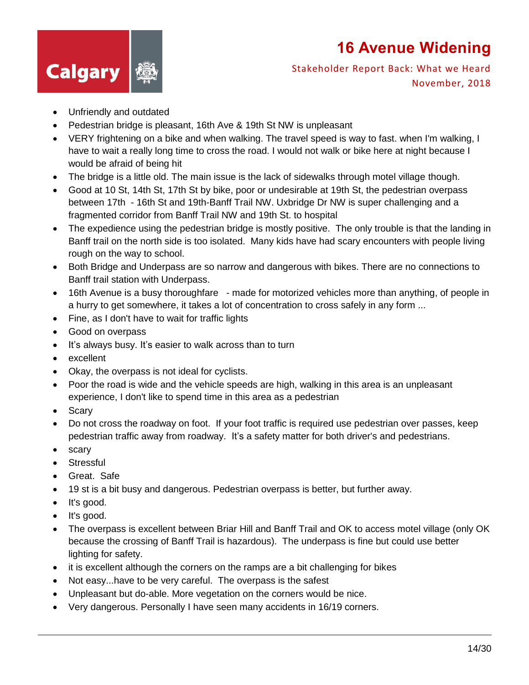

- Unfriendly and outdated
- Pedestrian bridge is pleasant, 16th Ave & 19th St NW is unpleasant
- VERY frightening on a bike and when walking. The travel speed is way to fast. when I'm walking, I have to wait a really long time to cross the road. I would not walk or bike here at night because I would be afraid of being hit
- The bridge is a little old. The main issue is the lack of sidewalks through motel village though.
- Good at 10 St, 14th St, 17th St by bike, poor or undesirable at 19th St, the pedestrian overpass between 17th - 16th St and 19th-Banff Trail NW. Uxbridge Dr NW is super challenging and a fragmented corridor from Banff Trail NW and 19th St. to hospital
- The expedience using the pedestrian bridge is mostly positive. The only trouble is that the landing in Banff trail on the north side is too isolated. Many kids have had scary encounters with people living rough on the way to school.
- Both Bridge and Underpass are so narrow and dangerous with bikes. There are no connections to Banff trail station with Underpass.
- 16th Avenue is a busy thoroughfare made for motorized vehicles more than anything, of people in a hurry to get somewhere, it takes a lot of concentration to cross safely in any form ...
- Fine, as I don't have to wait for traffic lights
- Good on overpass
- It's always busy. It's easier to walk across than to turn
- excellent
- Okay, the overpass is not ideal for cyclists.
- Poor the road is wide and the vehicle speeds are high, walking in this area is an unpleasant experience, I don't like to spend time in this area as a pedestrian
- Scarv
- Do not cross the roadway on foot. If your foot traffic is required use pedestrian over passes, keep pedestrian traffic away from roadway. It's a safety matter for both driver's and pedestrians.
- scary
- Stressful
- Great. Safe
- 19 st is a bit busy and dangerous. Pedestrian overpass is better, but further away.
- It's good.
- $\bullet$  It's good.
- The overpass is excellent between Briar Hill and Banff Trail and OK to access motel village (only OK because the crossing of Banff Trail is hazardous). The underpass is fine but could use better lighting for safety.
- it is excellent although the corners on the ramps are a bit challenging for bikes
- Not easy...have to be very careful. The overpass is the safest
- Unpleasant but do-able. More vegetation on the corners would be nice.
- Very dangerous. Personally I have seen many accidents in 16/19 corners.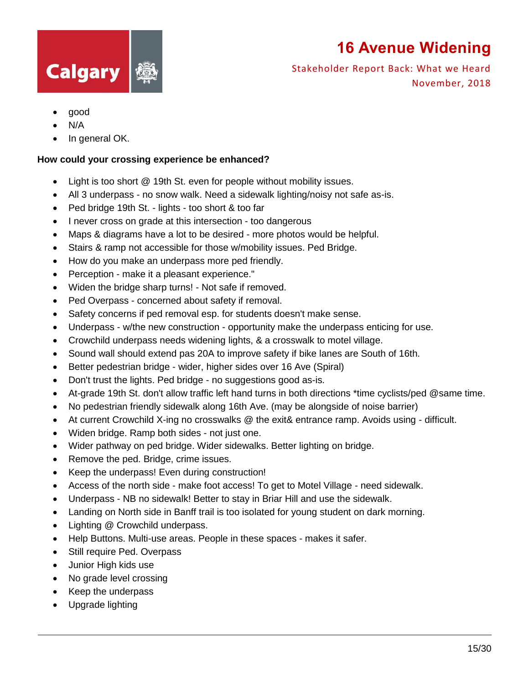

Stakeholder Report Back: What we Heard November, 2018

- good
- N/A
- In general OK.

#### **How could your crossing experience be enhanced?**

- Light is too short @ 19th St. even for people without mobility issues.
- All 3 underpass no snow walk. Need a sidewalk lighting/noisy not safe as-is.
- Ped bridge 19th St. lights too short & too far
- I never cross on grade at this intersection too dangerous
- Maps & diagrams have a lot to be desired more photos would be helpful.
- Stairs & ramp not accessible for those w/mobility issues. Ped Bridge.
- How do you make an underpass more ped friendly.
- Perception make it a pleasant experience."
- Widen the bridge sharp turns! Not safe if removed.
- Ped Overpass concerned about safety if removal.
- Safety concerns if ped removal esp. for students doesn't make sense.
- Underpass w/the new construction opportunity make the underpass enticing for use.
- Crowchild underpass needs widening lights, & a crosswalk to motel village.
- Sound wall should extend pas 20A to improve safety if bike lanes are South of 16th.
- Better pedestrian bridge wider, higher sides over 16 Ave (Spiral)
- Don't trust the lights. Ped bridge no suggestions good as-is.
- At-grade 19th St. don't allow traffic left hand turns in both directions \*time cyclists/ped @same time.
- No pedestrian friendly sidewalk along 16th Ave. (may be alongside of noise barrier)
- At current Crowchild X-ing no crosswalks @ the exit& entrance ramp. Avoids using difficult.
- Widen bridge. Ramp both sides not just one.
- Wider pathway on ped bridge. Wider sidewalks. Better lighting on bridge.
- Remove the ped. Bridge, crime issues.
- Keep the underpass! Even during construction!
- Access of the north side make foot access! To get to Motel Village need sidewalk.
- Underpass NB no sidewalk! Better to stay in Briar Hill and use the sidewalk.
- Landing on North side in Banff trail is too isolated for young student on dark morning.
- Lighting @ Crowchild underpass.
- Help Buttons. Multi-use areas. People in these spaces makes it safer.
- Still require Ped. Overpass
- Junior High kids use
- No grade level crossing
- Keep the underpass
- Upgrade lighting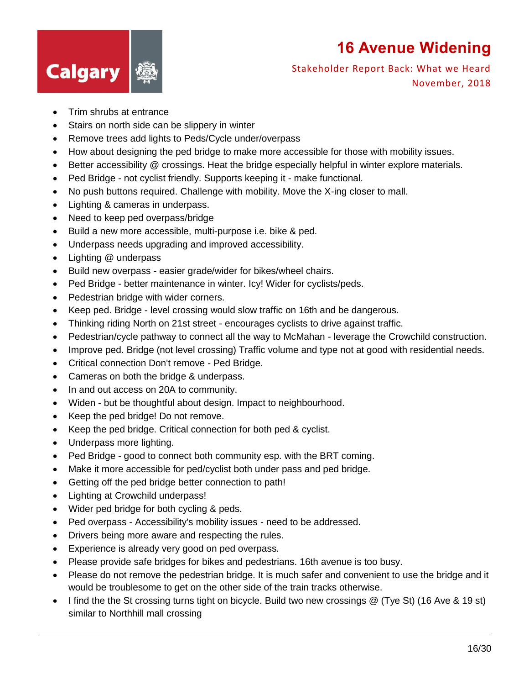

- Trim shrubs at entrance
- Stairs on north side can be slippery in winter
- Remove trees add lights to Peds/Cycle under/overpass
- How about designing the ped bridge to make more accessible for those with mobility issues.
- Better accessibility @ crossings. Heat the bridge especially helpful in winter explore materials.
- Ped Bridge not cyclist friendly. Supports keeping it make functional.
- No push buttons required. Challenge with mobility. Move the X-ing closer to mall.
- Lighting & cameras in underpass.
- Need to keep ped overpass/bridge
- Build a new more accessible, multi-purpose i.e. bike & ped.
- Underpass needs upgrading and improved accessibility.
- Lighting @ underpass
- Build new overpass easier grade/wider for bikes/wheel chairs.
- Ped Bridge better maintenance in winter. Icy! Wider for cyclists/peds.
- Pedestrian bridge with wider corners.
- Keep ped. Bridge level crossing would slow traffic on 16th and be dangerous.
- Thinking riding North on 21st street encourages cyclists to drive against traffic.
- Pedestrian/cycle pathway to connect all the way to McMahan leverage the Crowchild construction.
- Improve ped. Bridge (not level crossing) Traffic volume and type not at good with residential needs.
- Critical connection Don't remove Ped Bridge.
- Cameras on both the bridge & underpass.
- In and out access on 20A to community.
- Widen but be thoughtful about design. Impact to neighbourhood.
- Keep the ped bridge! Do not remove.
- Keep the ped bridge. Critical connection for both ped & cyclist.
- Underpass more lighting.
- Ped Bridge good to connect both community esp. with the BRT coming.
- Make it more accessible for ped/cyclist both under pass and ped bridge.
- Getting off the ped bridge better connection to path!
- Lighting at Crowchild underpass!
- Wider ped bridge for both cycling & peds.
- Ped overpass Accessibility's mobility issues need to be addressed.
- Drivers being more aware and respecting the rules.
- Experience is already very good on ped overpass.
- Please provide safe bridges for bikes and pedestrians. 16th avenue is too busy.
- Please do not remove the pedestrian bridge. It is much safer and convenient to use the bridge and it would be troublesome to get on the other side of the train tracks otherwise.
- I find the the St crossing turns tight on bicycle. Build two new crossings @ (Tye St) (16 Ave & 19 st) similar to Northhill mall crossing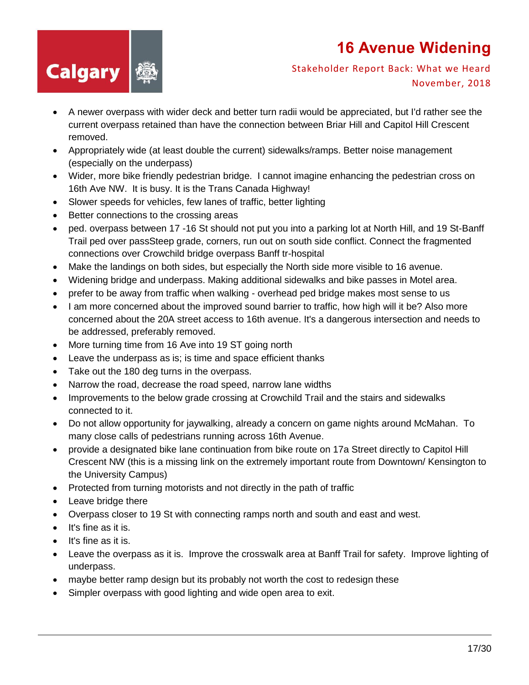

- A newer overpass with wider deck and better turn radii would be appreciated, but I'd rather see the current overpass retained than have the connection between Briar Hill and Capitol Hill Crescent removed.
- Appropriately wide (at least double the current) sidewalks/ramps. Better noise management (especially on the underpass)
- Wider, more bike friendly pedestrian bridge. I cannot imagine enhancing the pedestrian cross on 16th Ave NW. It is busy. It is the Trans Canada Highway!
- Slower speeds for vehicles, few lanes of traffic, better lighting
- Better connections to the crossing areas
- ped. overpass between 17 -16 St should not put you into a parking lot at North Hill, and 19 St-Banff Trail ped over passSteep grade, corners, run out on south side conflict. Connect the fragmented connections over Crowchild bridge overpass Banff tr-hospital
- Make the landings on both sides, but especially the North side more visible to 16 avenue.
- Widening bridge and underpass. Making additional sidewalks and bike passes in Motel area.
- prefer to be away from traffic when walking overhead ped bridge makes most sense to us
- I am more concerned about the improved sound barrier to traffic, how high will it be? Also more concerned about the 20A street access to 16th avenue. It's a dangerous intersection and needs to be addressed, preferably removed.
- More turning time from 16 Ave into 19 ST going north
- Leave the underpass as is; is time and space efficient thanks
- Take out the 180 deg turns in the overpass.
- Narrow the road, decrease the road speed, narrow lane widths
- Improvements to the below grade crossing at Crowchild Trail and the stairs and sidewalks connected to it.
- Do not allow opportunity for jaywalking, already a concern on game nights around McMahan. To many close calls of pedestrians running across 16th Avenue.
- provide a designated bike lane continuation from bike route on 17a Street directly to Capitol Hill Crescent NW (this is a missing link on the extremely important route from Downtown/ Kensington to the University Campus)
- Protected from turning motorists and not directly in the path of traffic
- Leave bridge there
- Overpass closer to 19 St with connecting ramps north and south and east and west.
- $\bullet$  It's fine as it is.
- $\bullet$  It's fine as it is.
- Leave the overpass as it is. Improve the crosswalk area at Banff Trail for safety. Improve lighting of underpass.
- maybe better ramp design but its probably not worth the cost to redesign these
- Simpler overpass with good lighting and wide open area to exit.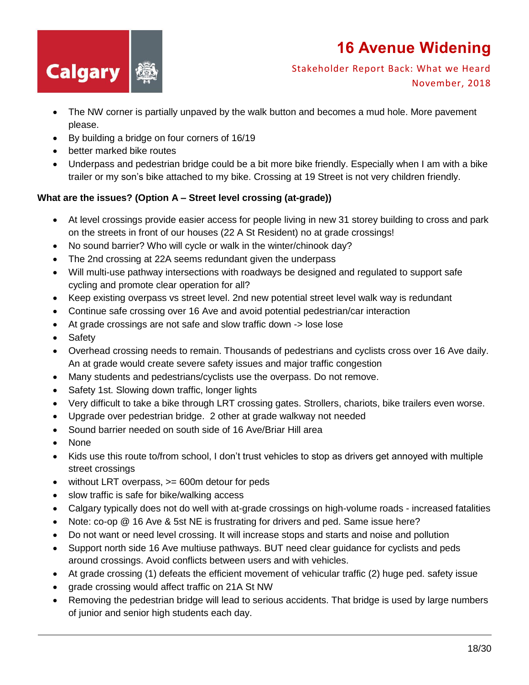

Stakeholder Report Back: What we Heard November, 2018

- The NW corner is partially unpaved by the walk button and becomes a mud hole. More pavement please.
- By building a bridge on four corners of 16/19
- better marked bike routes
- Underpass and pedestrian bridge could be a bit more bike friendly. Especially when I am with a bike trailer or my son's bike attached to my bike. Crossing at 19 Street is not very children friendly.

#### **What are the issues? (Option A – Street level crossing (at-grade))**

- At level crossings provide easier access for people living in new 31 storey building to cross and park on the streets in front of our houses (22 A St Resident) no at grade crossings!
- No sound barrier? Who will cycle or walk in the winter/chinook day?
- The 2nd crossing at 22A seems redundant given the underpass
- Will multi-use pathway intersections with roadways be designed and regulated to support safe cycling and promote clear operation for all?
- Keep existing overpass vs street level. 2nd new potential street level walk way is redundant
- Continue safe crossing over 16 Ave and avoid potential pedestrian/car interaction
- At grade crossings are not safe and slow traffic down -> lose lose
- Safety
- Overhead crossing needs to remain. Thousands of pedestrians and cyclists cross over 16 Ave daily. An at grade would create severe safety issues and major traffic congestion
- Many students and pedestrians/cyclists use the overpass. Do not remove.
- Safety 1st. Slowing down traffic, longer lights
- Very difficult to take a bike through LRT crossing gates. Strollers, chariots, bike trailers even worse.
- Upgrade over pedestrian bridge. 2 other at grade walkway not needed
- Sound barrier needed on south side of 16 Ave/Briar Hill area
- None
- Kids use this route to/from school, I don't trust vehicles to stop as drivers get annoyed with multiple street crossings
- without LRT overpass, >= 600m detour for peds
- slow traffic is safe for bike/walking access
- Calgary typically does not do well with at-grade crossings on high-volume roads increased fatalities
- Note: co-op @ 16 Ave & 5st NE is frustrating for drivers and ped. Same issue here?
- Do not want or need level crossing. It will increase stops and starts and noise and pollution
- Support north side 16 Ave multiuse pathways. BUT need clear guidance for cyclists and peds around crossings. Avoid conflicts between users and with vehicles.
- At grade crossing (1) defeats the efficient movement of vehicular traffic (2) huge ped. safety issue
- grade crossing would affect traffic on 21A St NW
- Removing the pedestrian bridge will lead to serious accidents. That bridge is used by large numbers of junior and senior high students each day.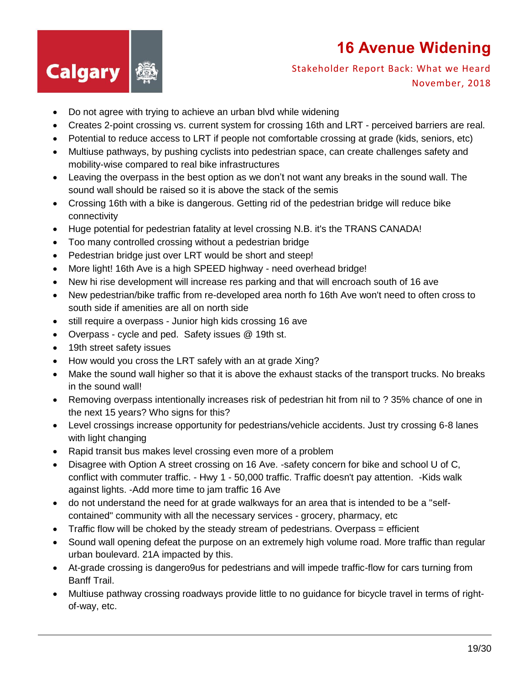

- Do not agree with trying to achieve an urban blvd while widening
- Creates 2-point crossing vs. current system for crossing 16th and LRT perceived barriers are real.
- Potential to reduce access to LRT if people not comfortable crossing at grade (kids, seniors, etc)
- Multiuse pathways, by pushing cyclists into pedestrian space, can create challenges safety and mobility-wise compared to real bike infrastructures
- Leaving the overpass in the best option as we don't not want any breaks in the sound wall. The sound wall should be raised so it is above the stack of the semis
- Crossing 16th with a bike is dangerous. Getting rid of the pedestrian bridge will reduce bike connectivity
- Huge potential for pedestrian fatality at level crossing N.B. it's the TRANS CANADA!
- Too many controlled crossing without a pedestrian bridge
- Pedestrian bridge just over LRT would be short and steep!
- More light! 16th Ave is a high SPEED highway need overhead bridge!
- New hi rise development will increase res parking and that will encroach south of 16 ave
- New pedestrian/bike traffic from re-developed area north fo 16th Ave won't need to often cross to south side if amenities are all on north side
- still require a overpass Junior high kids crossing 16 ave
- Overpass cycle and ped. Safety issues @ 19th st.
- 19th street safety issues
- How would you cross the LRT safely with an at grade Xing?
- Make the sound wall higher so that it is above the exhaust stacks of the transport trucks. No breaks in the sound wall!
- Removing overpass intentionally increases risk of pedestrian hit from nil to ? 35% chance of one in the next 15 years? Who signs for this?
- Level crossings increase opportunity for pedestrians/vehicle accidents. Just try crossing 6-8 lanes with light changing
- Rapid transit bus makes level crossing even more of a problem
- Disagree with Option A street crossing on 16 Ave. -safety concern for bike and school U of C, conflict with commuter traffic. - Hwy 1 - 50,000 traffic. Traffic doesn't pay attention. -Kids walk against lights. -Add more time to jam traffic 16 Ave
- do not understand the need for at grade walkways for an area that is intended to be a "selfcontained" community with all the necessary services - grocery, pharmacy, etc
- $\bullet$  Traffic flow will be choked by the steady stream of pedestrians. Overpass = efficient
- Sound wall opening defeat the purpose on an extremely high volume road. More traffic than regular urban boulevard. 21A impacted by this.
- At-grade crossing is dangero9us for pedestrians and will impede traffic-flow for cars turning from Banff Trail.
- Multiuse pathway crossing roadways provide little to no guidance for bicycle travel in terms of rightof-way, etc.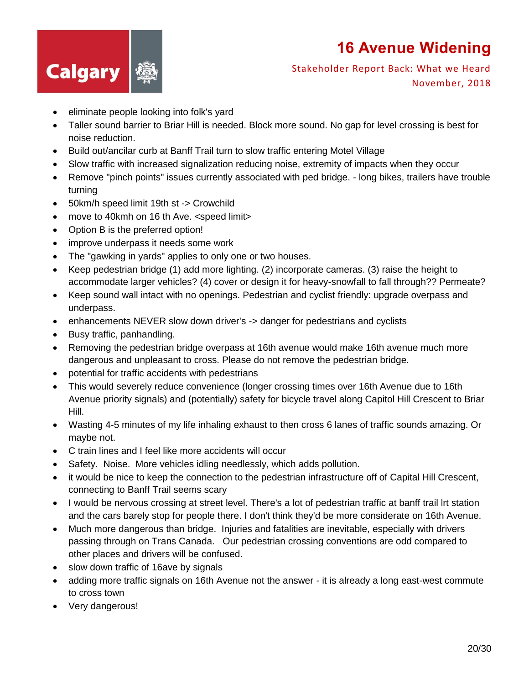

- eliminate people looking into folk's yard
- Taller sound barrier to Briar Hill is needed. Block more sound. No gap for level crossing is best for noise reduction.
- Build out/ancilar curb at Banff Trail turn to slow traffic entering Motel Village
- Slow traffic with increased signalization reducing noise, extremity of impacts when they occur
- Remove "pinch points" issues currently associated with ped bridge. long bikes, trailers have trouble turning
- 50km/h speed limit 19th st -> Crowchild
- move to 40kmh on 16 th Ave. <speed limit>
- Option B is the preferred option!
- improve underpass it needs some work
- The "gawking in yards" applies to only one or two houses.
- Keep pedestrian bridge (1) add more lighting. (2) incorporate cameras. (3) raise the height to accommodate larger vehicles? (4) cover or design it for heavy-snowfall to fall through?? Permeate?
- Keep sound wall intact with no openings. Pedestrian and cyclist friendly: upgrade overpass and underpass.
- enhancements NEVER slow down driver's -> danger for pedestrians and cyclists
- Busy traffic, panhandling.
- Removing the pedestrian bridge overpass at 16th avenue would make 16th avenue much more dangerous and unpleasant to cross. Please do not remove the pedestrian bridge.
- potential for traffic accidents with pedestrians
- This would severely reduce convenience (longer crossing times over 16th Avenue due to 16th Avenue priority signals) and (potentially) safety for bicycle travel along Capitol Hill Crescent to Briar Hill.
- Wasting 4-5 minutes of my life inhaling exhaust to then cross 6 lanes of traffic sounds amazing. Or maybe not.
- C train lines and I feel like more accidents will occur
- Safety. Noise. More vehicles idling needlessly, which adds pollution.
- it would be nice to keep the connection to the pedestrian infrastructure off of Capital Hill Crescent, connecting to Banff Trail seems scary
- I would be nervous crossing at street level. There's a lot of pedestrian traffic at banff trail lrt station and the cars barely stop for people there. I don't think they'd be more considerate on 16th Avenue.
- Much more dangerous than bridge. Injuries and fatalities are inevitable, especially with drivers passing through on Trans Canada. Our pedestrian crossing conventions are odd compared to other places and drivers will be confused.
- slow down traffic of 16ave by signals
- adding more traffic signals on 16th Avenue not the answer it is already a long east-west commute to cross town
- Very dangerous!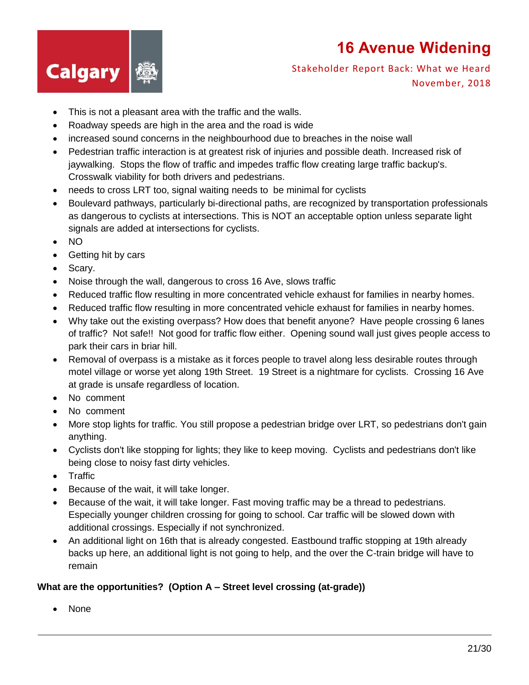

#### Stakeholder Report Back: What we Heard November, 2018

- This is not a pleasant area with the traffic and the walls.
- Roadway speeds are high in the area and the road is wide
- increased sound concerns in the neighbourhood due to breaches in the noise wall
- Pedestrian traffic interaction is at greatest risk of injuries and possible death. Increased risk of jaywalking. Stops the flow of traffic and impedes traffic flow creating large traffic backup's. Crosswalk viability for both drivers and pedestrians.
- needs to cross LRT too, signal waiting needs to be minimal for cyclists
- Boulevard pathways, particularly bi-directional paths, are recognized by transportation professionals as dangerous to cyclists at intersections. This is NOT an acceptable option unless separate light signals are added at intersections for cyclists.
- NO
- Getting hit by cars
- Scarv.
- Noise through the wall, dangerous to cross 16 Ave, slows traffic
- Reduced traffic flow resulting in more concentrated vehicle exhaust for families in nearby homes.
- Reduced traffic flow resulting in more concentrated vehicle exhaust for families in nearby homes.
- Why take out the existing overpass? How does that benefit anyone? Have people crossing 6 lanes of traffic? Not safe!! Not good for traffic flow either. Opening sound wall just gives people access to park their cars in briar hill.
- Removal of overpass is a mistake as it forces people to travel along less desirable routes through motel village or worse yet along 19th Street. 19 Street is a nightmare for cyclists. Crossing 16 Ave at grade is unsafe regardless of location.
- No comment
- No comment
- More stop lights for traffic. You still propose a pedestrian bridge over LRT, so pedestrians don't gain anything.
- Cyclists don't like stopping for lights; they like to keep moving. Cyclists and pedestrians don't like being close to noisy fast dirty vehicles.
- Traffic
- Because of the wait, it will take longer.
- Because of the wait, it will take longer. Fast moving traffic may be a thread to pedestrians. Especially younger children crossing for going to school. Car traffic will be slowed down with additional crossings. Especially if not synchronized.
- An additional light on 16th that is already congested. Eastbound traffic stopping at 19th already backs up here, an additional light is not going to help, and the over the C-train bridge will have to remain

#### **What are the opportunities? (Option A – Street level crossing (at-grade))**

• None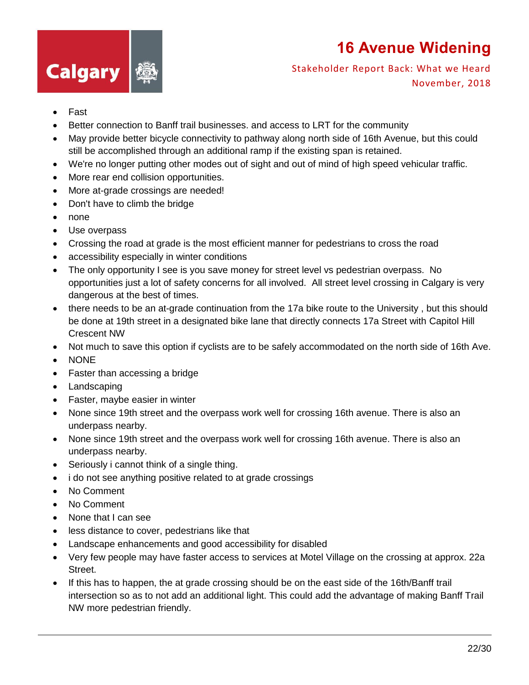

- Fast
- Better connection to Banff trail businesses. and access to LRT for the community
- May provide better bicycle connectivity to pathway along north side of 16th Avenue, but this could still be accomplished through an additional ramp if the existing span is retained.
- We're no longer putting other modes out of sight and out of mind of high speed vehicular traffic.
- More rear end collision opportunities.
- More at-grade crossings are needed!
- Don't have to climb the bridge
- none
- Use overpass
- Crossing the road at grade is the most efficient manner for pedestrians to cross the road
- accessibility especially in winter conditions
- The only opportunity I see is you save money for street level vs pedestrian overpass. No opportunities just a lot of safety concerns for all involved. All street level crossing in Calgary is very dangerous at the best of times.
- there needs to be an at-grade continuation from the 17a bike route to the University , but this should be done at 19th street in a designated bike lane that directly connects 17a Street with Capitol Hill Crescent NW
- Not much to save this option if cyclists are to be safely accommodated on the north side of 16th Ave.
- NONE
- Faster than accessing a bridge
- Landscaping
- Faster, maybe easier in winter
- None since 19th street and the overpass work well for crossing 16th avenue. There is also an underpass nearby.
- None since 19th street and the overpass work well for crossing 16th avenue. There is also an underpass nearby.
- Seriously i cannot think of a single thing.
- i do not see anything positive related to at grade crossings
- No Comment
- No Comment
- None that I can see
- less distance to cover, pedestrians like that
- Landscape enhancements and good accessibility for disabled
- Very few people may have faster access to services at Motel Village on the crossing at approx. 22a Street.
- If this has to happen, the at grade crossing should be on the east side of the 16th/Banff trail intersection so as to not add an additional light. This could add the advantage of making Banff Trail NW more pedestrian friendly.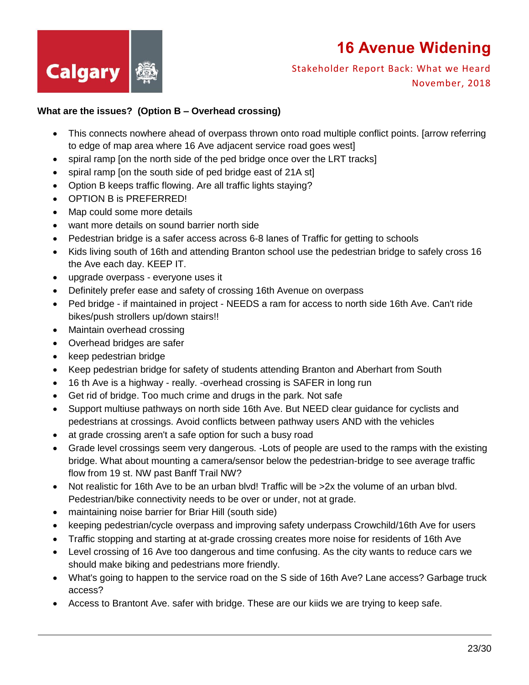

Stakeholder Report Back: What we Heard November, 2018

#### **What are the issues? (Option B – Overhead crossing)**

- This connects nowhere ahead of overpass thrown onto road multiple conflict points. [arrow referring to edge of map area where 16 Ave adjacent service road goes west]
- spiral ramp [on the north side of the ped bridge once over the LRT tracks]
- spiral ramp [on the south side of ped bridge east of 21A st]
- Option B keeps traffic flowing. Are all traffic lights staying?
- OPTION B is PREFERRED!
- Map could some more details
- want more details on sound barrier north side
- Pedestrian bridge is a safer access across 6-8 lanes of Traffic for getting to schools
- Kids living south of 16th and attending Branton school use the pedestrian bridge to safely cross 16 the Ave each day. KEEP IT.
- upgrade overpass everyone uses it
- Definitely prefer ease and safety of crossing 16th Avenue on overpass
- Ped bridge if maintained in project NEEDS a ram for access to north side 16th Ave. Can't ride bikes/push strollers up/down stairs!!
- Maintain overhead crossing
- Overhead bridges are safer
- keep pedestrian bridge
- Keep pedestrian bridge for safety of students attending Branton and Aberhart from South
- 16 th Ave is a highway really. -overhead crossing is SAFER in long run
- Get rid of bridge. Too much crime and drugs in the park. Not safe
- Support multiuse pathways on north side 16th Ave. But NEED clear guidance for cyclists and pedestrians at crossings. Avoid conflicts between pathway users AND with the vehicles
- at grade crossing aren't a safe option for such a busy road
- Grade level crossings seem very dangerous. -Lots of people are used to the ramps with the existing bridge. What about mounting a camera/sensor below the pedestrian-bridge to see average traffic flow from 19 st. NW past Banff Trail NW?
- $\bullet$  Not realistic for 16th Ave to be an urban blvd! Traffic will be  $>2x$  the volume of an urban blvd. Pedestrian/bike connectivity needs to be over or under, not at grade.
- maintaining noise barrier for Briar Hill (south side)
- keeping pedestrian/cycle overpass and improving safety underpass Crowchild/16th Ave for users
- Traffic stopping and starting at at-grade crossing creates more noise for residents of 16th Ave
- Level crossing of 16 Ave too dangerous and time confusing. As the city wants to reduce cars we should make biking and pedestrians more friendly.
- What's going to happen to the service road on the S side of 16th Ave? Lane access? Garbage truck access?
- Access to Brantont Ave. safer with bridge. These are our kiids we are trying to keep safe.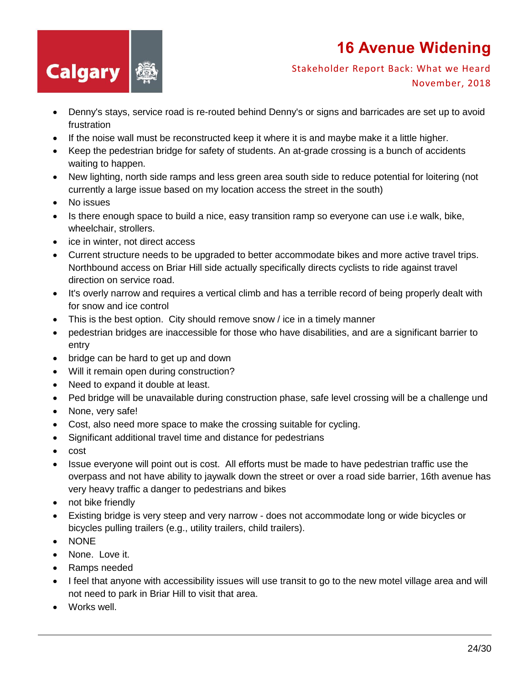

- Denny's stays, service road is re-routed behind Denny's or signs and barricades are set up to avoid frustration
- If the noise wall must be reconstructed keep it where it is and maybe make it a little higher.
- Keep the pedestrian bridge for safety of students. An at-grade crossing is a bunch of accidents waiting to happen.
- New lighting, north side ramps and less green area south side to reduce potential for loitering (not currently a large issue based on my location access the street in the south)
- No issues
- Is there enough space to build a nice, easy transition ramp so everyone can use i.e walk, bike, wheelchair, strollers.
- ice in winter, not direct access
- Current structure needs to be upgraded to better accommodate bikes and more active travel trips. Northbound access on Briar Hill side actually specifically directs cyclists to ride against travel direction on service road.
- It's overly narrow and requires a vertical climb and has a terrible record of being properly dealt with for snow and ice control
- This is the best option. City should remove snow / ice in a timely manner
- pedestrian bridges are inaccessible for those who have disabilities, and are a significant barrier to entry
- bridge can be hard to get up and down
- Will it remain open during construction?
- Need to expand it double at least.
- Ped bridge will be unavailable during construction phase, safe level crossing will be a challenge und
- None, very safe!
- Cost, also need more space to make the crossing suitable for cycling.
- Significant additional travel time and distance for pedestrians
- cost
- Issue everyone will point out is cost. All efforts must be made to have pedestrian traffic use the overpass and not have ability to jaywalk down the street or over a road side barrier, 16th avenue has very heavy traffic a danger to pedestrians and bikes
- not bike friendly
- Existing bridge is very steep and very narrow does not accommodate long or wide bicycles or bicycles pulling trailers (e.g., utility trailers, child trailers).
- NONE
- None. Love it.
- Ramps needed
- I feel that anyone with accessibility issues will use transit to go to the new motel village area and will not need to park in Briar Hill to visit that area.
- Works well.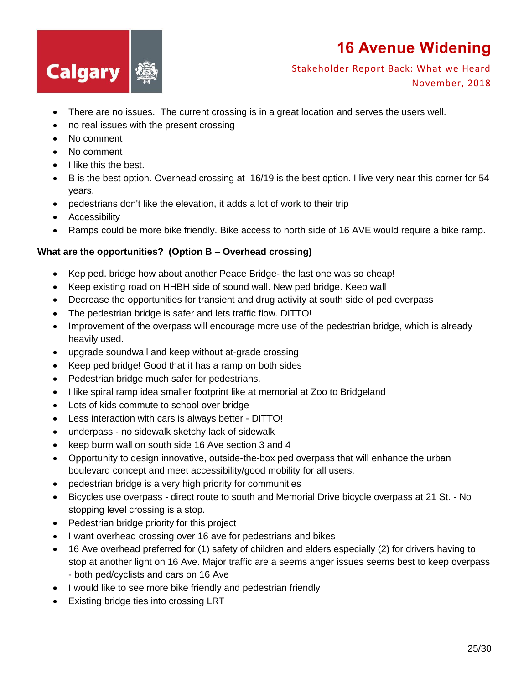

Stakeholder Report Back: What we Heard November, 2018

- There are no issues. The current crossing is in a great location and serves the users well.
- no real issues with the present crossing
- No comment
- No comment
- I like this the best.
- B is the best option. Overhead crossing at 16/19 is the best option. I live very near this corner for 54 years.
- pedestrians don't like the elevation, it adds a lot of work to their trip
- Accessibility
- Ramps could be more bike friendly. Bike access to north side of 16 AVE would require a bike ramp.

#### **What are the opportunities? (Option B – Overhead crossing)**

- Kep ped. bridge how about another Peace Bridge- the last one was so cheap!
- Keep existing road on HHBH side of sound wall. New ped bridge. Keep wall
- Decrease the opportunities for transient and drug activity at south side of ped overpass
- The pedestrian bridge is safer and lets traffic flow. DITTO!
- Improvement of the overpass will encourage more use of the pedestrian bridge, which is already heavily used.
- upgrade soundwall and keep without at-grade crossing
- Keep ped bridge! Good that it has a ramp on both sides
- Pedestrian bridge much safer for pedestrians.
- I like spiral ramp idea smaller footprint like at memorial at Zoo to Bridgeland
- Lots of kids commute to school over bridge
- Less interaction with cars is always better DITTO!
- underpass no sidewalk sketchy lack of sidewalk
- keep burm wall on south side 16 Ave section 3 and 4
- Opportunity to design innovative, outside-the-box ped overpass that will enhance the urban boulevard concept and meet accessibility/good mobility for all users.
- pedestrian bridge is a very high priority for communities
- Bicycles use overpass direct route to south and Memorial Drive bicycle overpass at 21 St. No stopping level crossing is a stop.
- Pedestrian bridge priority for this project
- I want overhead crossing over 16 ave for pedestrians and bikes
- 16 Ave overhead preferred for (1) safety of children and elders especially (2) for drivers having to stop at another light on 16 Ave. Major traffic are a seems anger issues seems best to keep overpass - both ped/cyclists and cars on 16 Ave
- I would like to see more bike friendly and pedestrian friendly
- Existing bridge ties into crossing LRT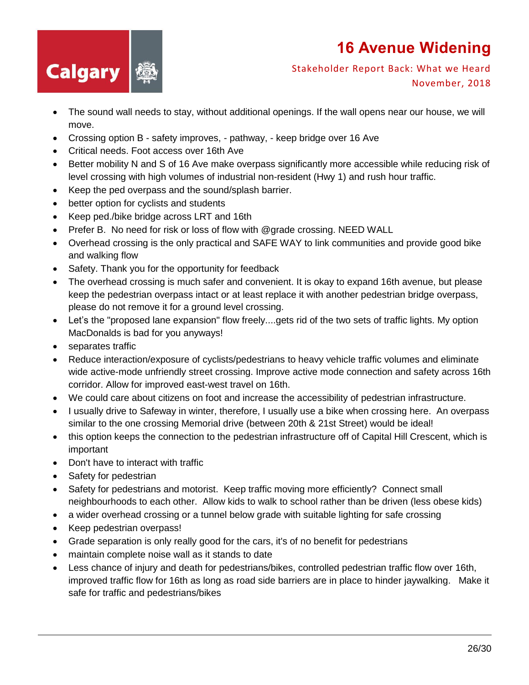

- The sound wall needs to stay, without additional openings. If the wall opens near our house, we will move.
- Crossing option B safety improves, pathway, keep bridge over 16 Ave
- Critical needs. Foot access over 16th Ave
- Better mobility N and S of 16 Ave make overpass significantly more accessible while reducing risk of level crossing with high volumes of industrial non-resident (Hwy 1) and rush hour traffic.
- Keep the ped overpass and the sound/splash barrier.
- better option for cyclists and students
- Keep ped./bike bridge across LRT and 16th
- Prefer B. No need for risk or loss of flow with @grade crossing. NEED WALL
- Overhead crossing is the only practical and SAFE WAY to link communities and provide good bike and walking flow
- Safety. Thank you for the opportunity for feedback
- The overhead crossing is much safer and convenient. It is okay to expand 16th avenue, but please keep the pedestrian overpass intact or at least replace it with another pedestrian bridge overpass, please do not remove it for a ground level crossing.
- Let's the "proposed lane expansion" flow freely....gets rid of the two sets of traffic lights. My option MacDonalds is bad for you anyways!
- separates traffic
- Reduce interaction/exposure of cyclists/pedestrians to heavy vehicle traffic volumes and eliminate wide active-mode unfriendly street crossing. Improve active mode connection and safety across 16th corridor. Allow for improved east-west travel on 16th.
- We could care about citizens on foot and increase the accessibility of pedestrian infrastructure.
- I usually drive to Safeway in winter, therefore, I usually use a bike when crossing here. An overpass similar to the one crossing Memorial drive (between 20th & 21st Street) would be ideal!
- this option keeps the connection to the pedestrian infrastructure off of Capital Hill Crescent, which is important
- Don't have to interact with traffic
- Safety for pedestrian
- Safety for pedestrians and motorist. Keep traffic moving more efficiently? Connect small neighbourhoods to each other. Allow kids to walk to school rather than be driven (less obese kids)
- a wider overhead crossing or a tunnel below grade with suitable lighting for safe crossing
- Keep pedestrian overpass!
- Grade separation is only really good for the cars, it's of no benefit for pedestrians
- maintain complete noise wall as it stands to date
- Less chance of injury and death for pedestrians/bikes, controlled pedestrian traffic flow over 16th, improved traffic flow for 16th as long as road side barriers are in place to hinder jaywalking. Make it safe for traffic and pedestrians/bikes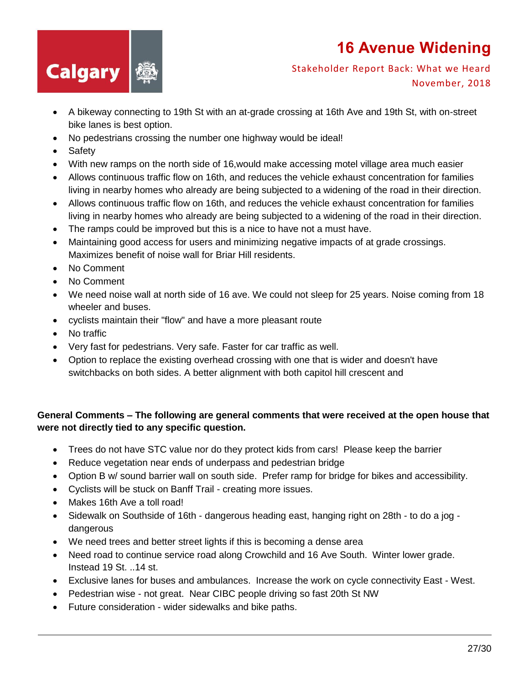

#### Stakeholder Report Back: What we Heard November, 2018

- A bikeway connecting to 19th St with an at-grade crossing at 16th Ave and 19th St, with on-street bike lanes is best option.
- No pedestrians crossing the number one highway would be ideal!
- Safety
- With new ramps on the north side of 16,would make accessing motel village area much easier
- Allows continuous traffic flow on 16th, and reduces the vehicle exhaust concentration for families living in nearby homes who already are being subjected to a widening of the road in their direction.
- Allows continuous traffic flow on 16th, and reduces the vehicle exhaust concentration for families living in nearby homes who already are being subjected to a widening of the road in their direction.
- The ramps could be improved but this is a nice to have not a must have.
- Maintaining good access for users and minimizing negative impacts of at grade crossings. Maximizes benefit of noise wall for Briar Hill residents.
- No Comment
- No Comment
- We need noise wall at north side of 16 ave. We could not sleep for 25 years. Noise coming from 18 wheeler and buses.
- cyclists maintain their "flow" and have a more pleasant route
- No traffic
- Very fast for pedestrians. Very safe. Faster for car traffic as well.
- Option to replace the existing overhead crossing with one that is wider and doesn't have switchbacks on both sides. A better alignment with both capitol hill crescent and

#### **General Comments – The following are general comments that were received at the open house that were not directly tied to any specific question.**

- Trees do not have STC value nor do they protect kids from cars! Please keep the barrier
- Reduce vegetation near ends of underpass and pedestrian bridge
- Option B w/ sound barrier wall on south side. Prefer ramp for bridge for bikes and accessibility.
- Cyclists will be stuck on Banff Trail creating more issues.
- Makes 16th Ave a toll road!
- Sidewalk on Southside of 16th dangerous heading east, hanging right on 28th to do a jog dangerous
- We need trees and better street lights if this is becoming a dense area
- Need road to continue service road along Crowchild and 16 Ave South. Winter lower grade. Instead 19 St. ..14 st.
- Exclusive lanes for buses and ambulances. Increase the work on cycle connectivity East West.
- Pedestrian wise not great. Near CIBC people driving so fast 20th St NW
- Future consideration wider sidewalks and bike paths.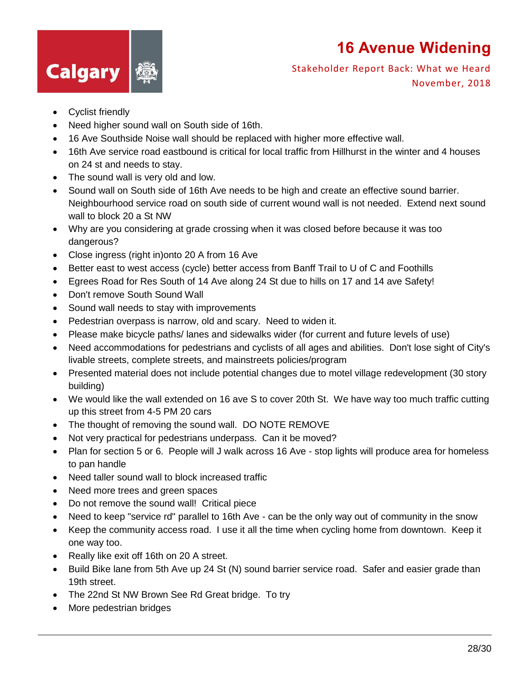

- Cyclist friendly
- Need higher sound wall on South side of 16th.
- 16 Ave Southside Noise wall should be replaced with higher more effective wall.
- 16th Ave service road eastbound is critical for local traffic from Hillhurst in the winter and 4 houses on 24 st and needs to stay.
- The sound wall is very old and low.
- Sound wall on South side of 16th Ave needs to be high and create an effective sound barrier. Neighbourhood service road on south side of current wound wall is not needed. Extend next sound wall to block 20 a St NW
- Why are you considering at grade crossing when it was closed before because it was too dangerous?
- Close ingress (right in)onto 20 A from 16 Ave
- Better east to west access (cycle) better access from Banff Trail to U of C and Foothills
- Egrees Road for Res South of 14 Ave along 24 St due to hills on 17 and 14 ave Safety!
- Don't remove South Sound Wall
- Sound wall needs to stay with improvements
- Pedestrian overpass is narrow, old and scary. Need to widen it.
- Please make bicycle paths/ lanes and sidewalks wider (for current and future levels of use)
- Need accommodations for pedestrians and cyclists of all ages and abilities. Don't lose sight of City's livable streets, complete streets, and mainstreets policies/program
- Presented material does not include potential changes due to motel village redevelopment (30 story building)
- We would like the wall extended on 16 ave S to cover 20th St. We have way too much traffic cutting up this street from 4-5 PM 20 cars
- The thought of removing the sound wall. DO NOTE REMOVE
- Not very practical for pedestrians underpass. Can it be moved?
- Plan for section 5 or 6. People will J walk across 16 Ave stop lights will produce area for homeless to pan handle
- Need taller sound wall to block increased traffic
- Need more trees and green spaces
- Do not remove the sound wall! Critical piece
- Need to keep "service rd" parallel to 16th Ave can be the only way out of community in the snow
- Keep the community access road. I use it all the time when cycling home from downtown. Keep it one way too.
- Really like exit off 16th on 20 A street.
- Build Bike lane from 5th Ave up 24 St (N) sound barrier service road. Safer and easier grade than 19th street.
- The 22nd St NW Brown See Rd Great bridge. To try
- More pedestrian bridges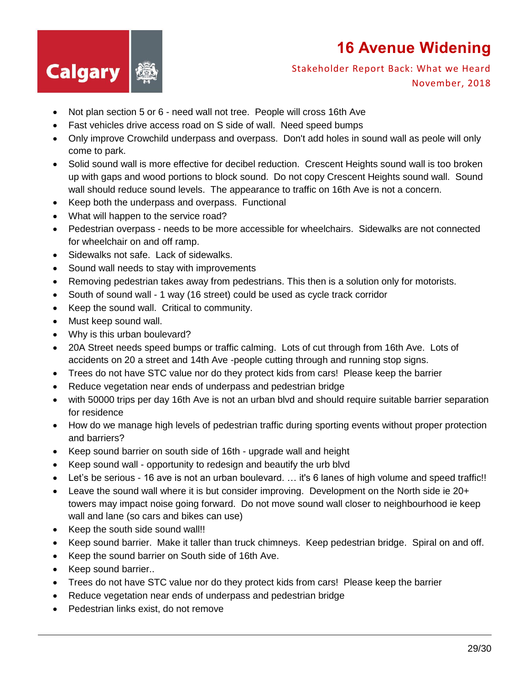

- Not plan section 5 or 6 need wall not tree. People will cross 16th Ave
- Fast vehicles drive access road on S side of wall. Need speed bumps
- Only improve Crowchild underpass and overpass. Don't add holes in sound wall as peole will only come to park.
- Solid sound wall is more effective for decibel reduction. Crescent Heights sound wall is too broken up with gaps and wood portions to block sound. Do not copy Crescent Heights sound wall. Sound wall should reduce sound levels. The appearance to traffic on 16th Ave is not a concern.
- Keep both the underpass and overpass. Functional
- What will happen to the service road?
- Pedestrian overpass needs to be more accessible for wheelchairs. Sidewalks are not connected for wheelchair on and off ramp.
- Sidewalks not safe. Lack of sidewalks.
- Sound wall needs to stay with improvements
- Removing pedestrian takes away from pedestrians. This then is a solution only for motorists.
- South of sound wall 1 way (16 street) could be used as cycle track corridor
- Keep the sound wall. Critical to community.
- Must keep sound wall.
- Why is this urban boulevard?
- 20A Street needs speed bumps or traffic calming. Lots of cut through from 16th Ave. Lots of accidents on 20 a street and 14th Ave -people cutting through and running stop signs.
- Trees do not have STC value nor do they protect kids from cars! Please keep the barrier
- Reduce vegetation near ends of underpass and pedestrian bridge
- with 50000 trips per day 16th Ave is not an urban blvd and should require suitable barrier separation for residence
- How do we manage high levels of pedestrian traffic during sporting events without proper protection and barriers?
- Keep sound barrier on south side of 16th upgrade wall and height
- Keep sound wall opportunity to redesign and beautify the urb blvd
- Let's be serious 16 ave is not an urban boulevard. … it's 6 lanes of high volume and speed traffic!!
- Leave the sound wall where it is but consider improving. Development on the North side ie 20+ towers may impact noise going forward. Do not move sound wall closer to neighbourhood ie keep wall and lane (so cars and bikes can use)
- Keep the south side sound wall!!
- Keep sound barrier. Make it taller than truck chimneys. Keep pedestrian bridge. Spiral on and off.
- Keep the sound barrier on South side of 16th Ave.
- Keep sound barrier..
- Trees do not have STC value nor do they protect kids from cars! Please keep the barrier
- Reduce vegetation near ends of underpass and pedestrian bridge
- Pedestrian links exist, do not remove